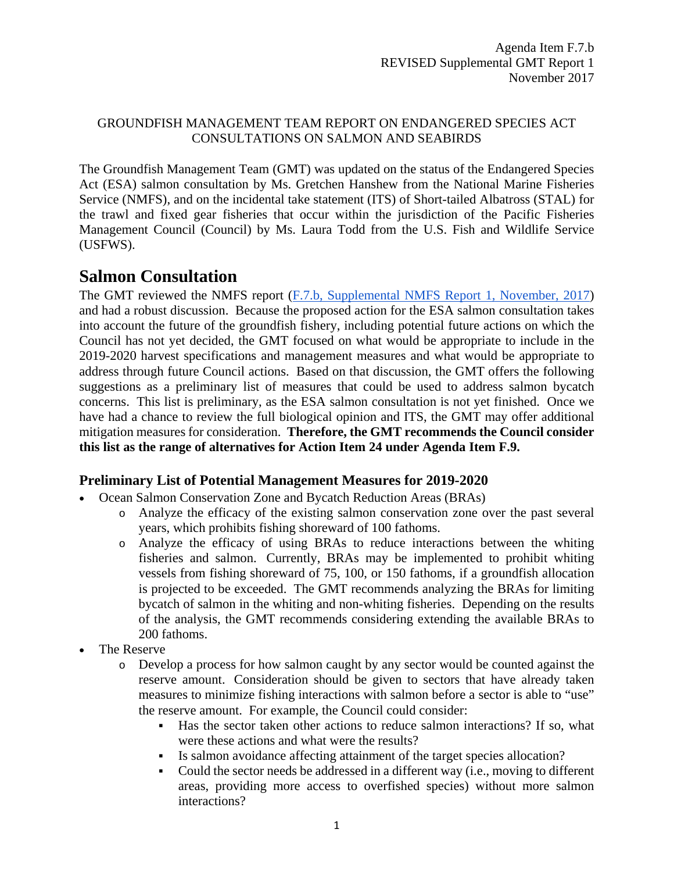### GROUNDFISH MANAGEMENT TEAM REPORT ON ENDANGERED SPECIES ACT CONSULTATIONS ON SALMON AND SEABIRDS

The Groundfish Management Team (GMT) was updated on the status of the Endangered Species Act (ESA) salmon consultation by Ms. Gretchen Hanshew from the National Marine Fisheries Service (NMFS), and on the incidental take statement (ITS) of Short-tailed Albatross (STAL) for the trawl and fixed gear fisheries that occur within the jurisdiction of the Pacific Fisheries Management Council (Council) by Ms. Laura Todd from the U.S. Fish and Wildlife Service (USFWS).

# **Salmon Consultation**

The GMT reviewed the NMFS report [\(F.7.b, Supplemental NMFS Report 1, November, 2017\)](https://www.pcouncil.org/wp-content/uploads/2017/11/F7b_Sup_NMFS_Rpt1_UpdateOn_BO_ITS_NOV2017BB.pdf) and had a robust discussion. Because the proposed action for the ESA salmon consultation takes into account the future of the groundfish fishery, including potential future actions on which the Council has not yet decided, the GMT focused on what would be appropriate to include in the 2019-2020 harvest specifications and management measures and what would be appropriate to address through future Council actions. Based on that discussion, the GMT offers the following suggestions as a preliminary list of measures that could be used to address salmon bycatch concerns. This list is preliminary, as the ESA salmon consultation is not yet finished. Once we have had a chance to review the full biological opinion and ITS, the GMT may offer additional mitigation measures for consideration. **Therefore, the GMT recommends the Council consider this list as the range of alternatives for Action Item 24 under Agenda Item F.9.**

### **Preliminary List of Potential Management Measures for 2019-2020**

- Ocean Salmon Conservation Zone and Bycatch Reduction Areas (BRAs)
	- o Analyze the efficacy of the existing salmon conservation zone over the past several years, which prohibits fishing shoreward of 100 fathoms.
	- o Analyze the efficacy of using BRAs to reduce interactions between the whiting fisheries and salmon. Currently, BRAs may be implemented to prohibit whiting vessels from fishing shoreward of 75, 100, or 150 fathoms, if a groundfish allocation is projected to be exceeded. The GMT recommends analyzing the BRAs for limiting bycatch of salmon in the whiting and non-whiting fisheries. Depending on the results of the analysis, the GMT recommends considering extending the available BRAs to 200 fathoms.
- The Reserve
	- o Develop a process for how salmon caught by any sector would be counted against the reserve amount. Consideration should be given to sectors that have already taken measures to minimize fishing interactions with salmon before a sector is able to "use" the reserve amount. For example, the Council could consider:
		- Has the sector taken other actions to reduce salmon interactions? If so, what were these actions and what were the results?
		- Is salmon avoidance affecting attainment of the target species allocation?
		- Could the sector needs be addressed in a different way (i.e., moving to different areas, providing more access to overfished species) without more salmon interactions?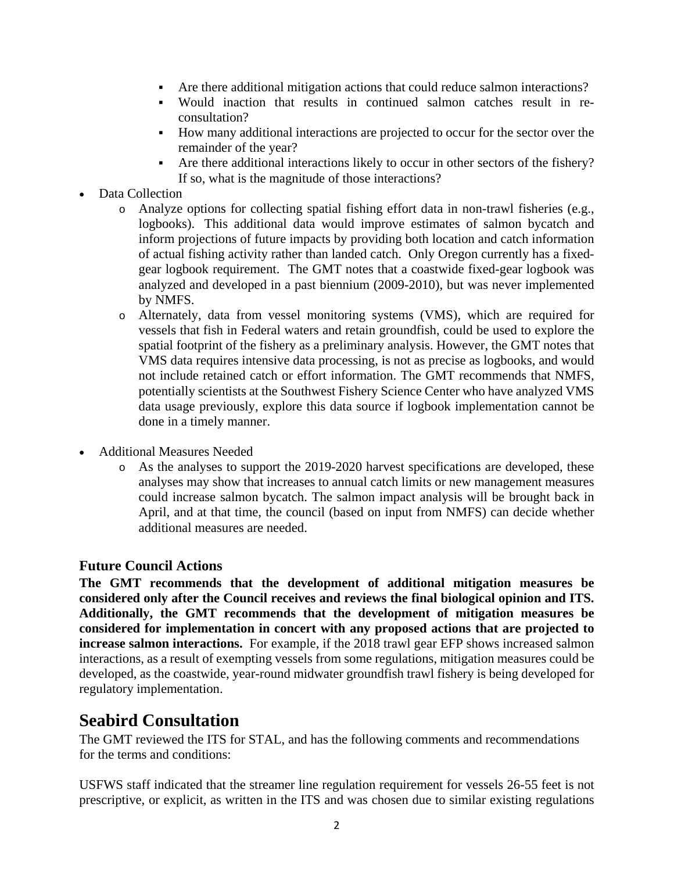- Are there additional mitigation actions that could reduce salmon interactions?
- Would inaction that results in continued salmon catches result in reconsultation?
- How many additional interactions are projected to occur for the sector over the remainder of the year?
- Are there additional interactions likely to occur in other sectors of the fishery? If so, what is the magnitude of those interactions?
- Data Collection
	- o Analyze options for collecting spatial fishing effort data in non-trawl fisheries (e.g., logbooks). This additional data would improve estimates of salmon bycatch and inform projections of future impacts by providing both location and catch information of actual fishing activity rather than landed catch. Only Oregon currently has a fixedgear logbook requirement. The GMT notes that a coastwide fixed-gear logbook was analyzed and developed in a past biennium (2009-2010), but was never implemented by NMFS.
	- o Alternately, data from vessel monitoring systems (VMS), which are required for vessels that fish in Federal waters and retain groundfish, could be used to explore the spatial footprint of the fishery as a preliminary analysis. However, the GMT notes that VMS data requires intensive data processing, is not as precise as logbooks, and would not include retained catch or effort information. The GMT recommends that NMFS, potentially scientists at the Southwest Fishery Science Center who have analyzed VMS data usage previously, explore this data source if logbook implementation cannot be done in a timely manner.
- Additional Measures Needed
	- o As the analyses to support the 2019-2020 harvest specifications are developed, these analyses may show that increases to annual catch limits or new management measures could increase salmon bycatch. The salmon impact analysis will be brought back in April, and at that time, the council (based on input from NMFS) can decide whether additional measures are needed.

### **Future Council Actions**

**The GMT recommends that the development of additional mitigation measures be considered only after the Council receives and reviews the final biological opinion and ITS. Additionally, the GMT recommends that the development of mitigation measures be considered for implementation in concert with any proposed actions that are projected to increase salmon interactions.** For example, if the 2018 trawl gear EFP shows increased salmon interactions, as a result of exempting vessels from some regulations, mitigation measures could be developed, as the coastwide, year-round midwater groundfish trawl fishery is being developed for regulatory implementation.

## **Seabird Consultation**

The GMT reviewed the ITS for STAL, and has the following comments and recommendations for the terms and conditions:

USFWS staff indicated that the streamer line regulation requirement for vessels 26-55 feet is not prescriptive, or explicit, as written in the ITS and was chosen due to similar existing regulations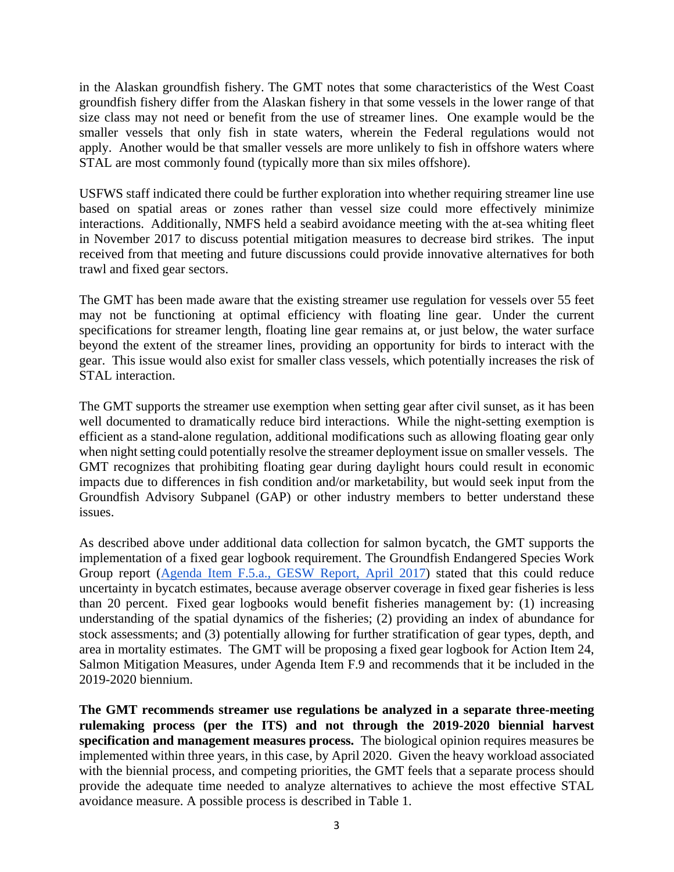in the Alaskan groundfish fishery. The GMT notes that some characteristics of the West Coast groundfish fishery differ from the Alaskan fishery in that some vessels in the lower range of that size class may not need or benefit from the use of streamer lines. One example would be the smaller vessels that only fish in state waters, wherein the Federal regulations would not apply. Another would be that smaller vessels are more unlikely to fish in offshore waters where STAL are most commonly found (typically more than six miles offshore).

USFWS staff indicated there could be further exploration into whether requiring streamer line use based on spatial areas or zones rather than vessel size could more effectively minimize interactions. Additionally, NMFS held a seabird avoidance meeting with the at-sea whiting fleet in November 2017 to discuss potential mitigation measures to decrease bird strikes. The input received from that meeting and future discussions could provide innovative alternatives for both trawl and fixed gear sectors.

The GMT has been made aware that the existing streamer use regulation for vessels over 55 feet may not be functioning at optimal efficiency with floating line gear. Under the current specifications for streamer length, floating line gear remains at, or just below, the water surface beyond the extent of the streamer lines, providing an opportunity for birds to interact with the gear. This issue would also exist for smaller class vessels, which potentially increases the risk of STAL interaction.

The GMT supports the streamer use exemption when setting gear after civil sunset, as it has been well documented to dramatically reduce bird interactions. While the night-setting exemption is efficient as a stand-alone regulation, additional modifications such as allowing floating gear only when night setting could potentially resolve the streamer deployment issue on smaller vessels. The GMT recognizes that prohibiting floating gear during daylight hours could result in economic impacts due to differences in fish condition and/or marketability, but would seek input from the Groundfish Advisory Subpanel (GAP) or other industry members to better understand these issues.

As described above under additional data collection for salmon bycatch, the GMT supports the implementation of a fixed gear logbook requirement. The Groundfish Endangered Species Work Group report [\(Agenda Item F.5.a., GESW Report, April 2017\)](http://www.pcouncil.org/wp-content/uploads/2017/03/F5a_ESA_Workgroup_Rpt_3-17-2017_Apr2017BB.pdf) stated that this could reduce uncertainty in bycatch estimates, because average observer coverage in fixed gear fisheries is less than 20 percent. Fixed gear logbooks would benefit fisheries management by: (1) increasing understanding of the spatial dynamics of the fisheries; (2) providing an index of abundance for stock assessments; and (3) potentially allowing for further stratification of gear types, depth, and area in mortality estimates. The GMT will be proposing a fixed gear logbook for Action Item 24, Salmon Mitigation Measures, under Agenda Item F.9 and recommends that it be included in the 2019-2020 biennium.

**The GMT recommends streamer use regulations be analyzed in a separate three-meeting rulemaking process (per the ITS) and not through the 2019-2020 biennial harvest specification and management measures process.** The biological opinion requires measures be implemented within three years, in this case, by April 2020. Given the heavy workload associated with the biennial process, and competing priorities, the GMT feels that a separate process should provide the adequate time needed to analyze alternatives to achieve the most effective STAL avoidance measure. A possible process is described in Table 1.